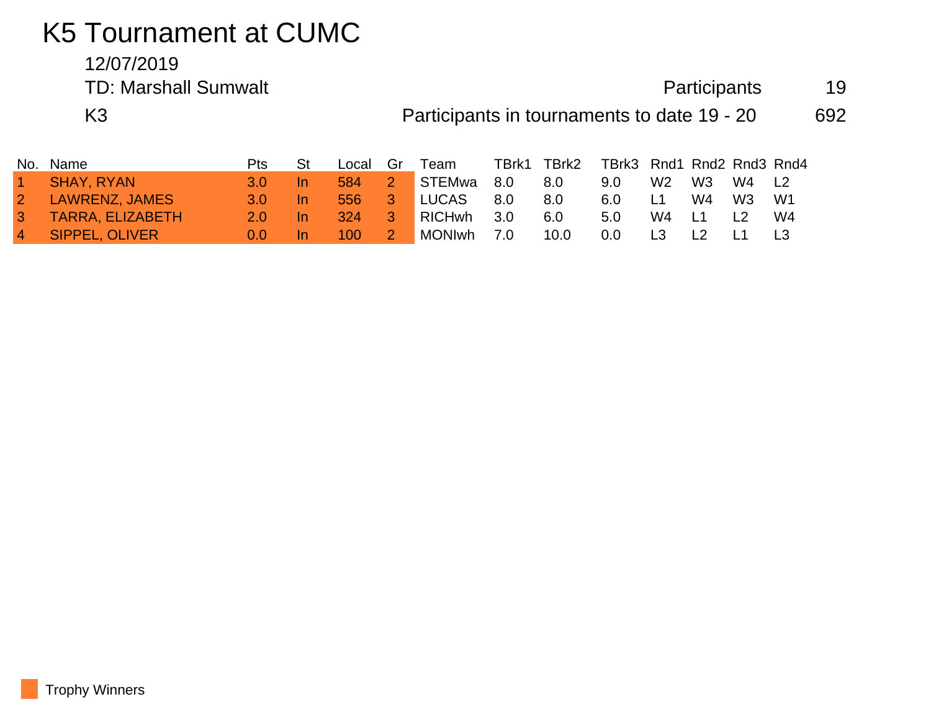## K5 Tournament at CUMC

## 12/07/2019 TD: Marshall Sumwalt **Participants** 19

K3 **Participants in tournaments to date 19 - 20** 692

| No.            | Name                    | Pts | St  | Local | Gr          | Team       | TBrk1 | TBrk2 | TBrk3 Rnd1 Rnd2 Rnd3 Rnd4 |                |                |       |      |
|----------------|-------------------------|-----|-----|-------|-------------|------------|-------|-------|---------------------------|----------------|----------------|-------|------|
| $\sim$         | <b>SHAY, RYAN</b>       | 3 O | In. | 584   | $2^{\circ}$ | STEMwa     | 8.0   | 8.0   | 9.0                       | W <sub>2</sub> | W3             | W4 L2 |      |
| $\sqrt{2}$     | <b>LAWRENZ, JAMES</b>   | 3 O | In. | 556   | $-3\,$      | LUCAS      | 8.0   | 8.0   | 6.0                       | L1             | W4             | W3    | - W1 |
| 3 <sup>1</sup> | <b>TARRA, ELIZABETH</b> | 2 O |     | 324   | 3           | RICHwh     | 3.0   | 6.0   | 5.0                       | W4             | L1             |       | W4   |
| $\overline{4}$ | <b>SIPPEL, OLIVER</b>   | 0.0 |     | 100   |             | MONIwh 7.0 |       | 10.0  | $0.0\,$                   | L3             | L <sub>2</sub> |       |      |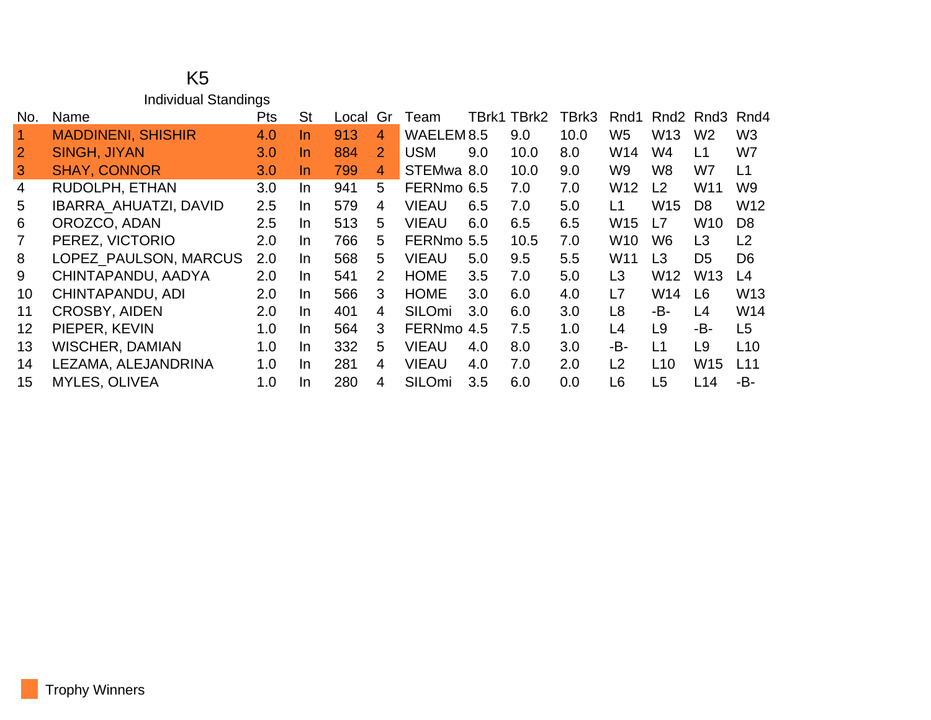## K5 Individual Standings

| No.            | Name                         | Pts | <b>St</b> | Local | Gr                    | Team                  |     | TBrk1 TBrk2 | TBrk3 | Rnd1            | Rnd <sub>2</sub> | Rnd3            | Rnd4            |
|----------------|------------------------------|-----|-----------|-------|-----------------------|-----------------------|-----|-------------|-------|-----------------|------------------|-----------------|-----------------|
| $\overline{1}$ | <b>MADDINENI, SHISHIR</b>    | 4.0 | In        | 913   | 4                     | WAELEM <sub>8.5</sub> |     | 9.0         | 10.0  | W <sub>5</sub>  | W <sub>13</sub>  | W <sub>2</sub>  | W <sub>3</sub>  |
| $\overline{2}$ | <b>SINGH, JIYAN</b>          | 3.0 | $\ln$     | 884   | $\overline{2}$        | <b>USM</b>            | 9.0 | 10.0        | 8.0   | W14             | W4               | L <sub>1</sub>  | W7              |
| $\mathbf{3}$   | <b>SHAY, CONNOR</b>          | 3.0 | In.       | 799   | 4                     | STEMwa 8.0            |     | 10.0        | 9.0   | W9              | W <sub>8</sub>   | W7              | L1              |
| $\overline{4}$ | RUDOLPH, ETHAN               | 3.0 | In.       | 941   | 5                     | FERNmo 6.5            |     | 7.0         | 7.0   | W <sub>12</sub> | L <sub>2</sub>   | W <sub>11</sub> | W9              |
| 5              | <b>IBARRA AHUATZI, DAVID</b> | 2.5 | In.       | 579   | $\overline{4}$        | <b>VIEAU</b>          | 6.5 | 7.0         | 5.0   | L1              | <b>W15</b>       | D <sub>8</sub>  | W12             |
| 6              | OROZCO, ADAN                 | 2.5 | In.       | 513   | 5                     | <b>VIEAU</b>          | 6.0 | 6.5         | 6.5   | W <sub>15</sub> | L7               | <b>W10</b>      | D <sub>8</sub>  |
| $\overline{7}$ | PEREZ, VICTORIO              | 2.0 | In.       | 766   | 5                     | FERNmo 5.5            |     | 10.5        | 7.0   | W <sub>10</sub> | W <sub>6</sub>   | L <sub>3</sub>  | L2              |
| 8              | LOPEZ_PAULSON, MARCUS        | 2.0 | In.       | 568   | 5                     | <b>VIEAU</b>          | 5.0 | 9.5         | 5.5   | W11             | L3               | D <sub>5</sub>  | D <sub>6</sub>  |
| 9              | CHINTAPANDU, AADYA           | 2.0 | In.       | 541   | $\mathbf{2}^{\prime}$ | <b>HOME</b>           | 3.5 | 7.0         | 5.0   | L <sub>3</sub>  | W <sub>12</sub>  | W <sub>13</sub> | L4              |
| 10             | CHINTAPANDU, ADI             | 2.0 | In.       | 566   | 3                     | <b>HOME</b>           | 3.0 | 6.0         | 4.0   | L7              | W14              | L <sub>6</sub>  | W <sub>13</sub> |
| 11             | <b>CROSBY, AIDEN</b>         | 2.0 | In.       | 401   | 4                     | SILOmi                | 3.0 | 6.0         | 3.0   | L <sub>8</sub>  | -B-              | L4              | W14             |
| 12             | PIEPER, KEVIN                | 1.0 | In.       | 564   | 3                     | FERNmo 4.5            |     | 7.5         | 1.0   | L4              | L9               | -B-             | L <sub>5</sub>  |
| 13             | <b>WISCHER, DAMIAN</b>       | 1.0 | In.       | 332   | 5                     | <b>VIEAU</b>          | 4.0 | 8.0         | 3.0   | -B-             | L1               | L <sub>9</sub>  | L10             |
| 14             | LEZAMA, ALEJANDRINA          | 1.0 | In.       | 281   | 4                     | <b>VIEAU</b>          | 4.0 | 7.0         | 2.0   | L2              | L10              | W <sub>15</sub> | L11             |
| 15             | <b>MYLES, OLIVEA</b>         | 1.0 | In.       | 280   | $\overline{4}$        | SILOmi                | 3.5 | 6.0         | 0.0   | L6              | L <sub>5</sub>   | L14             | -B-             |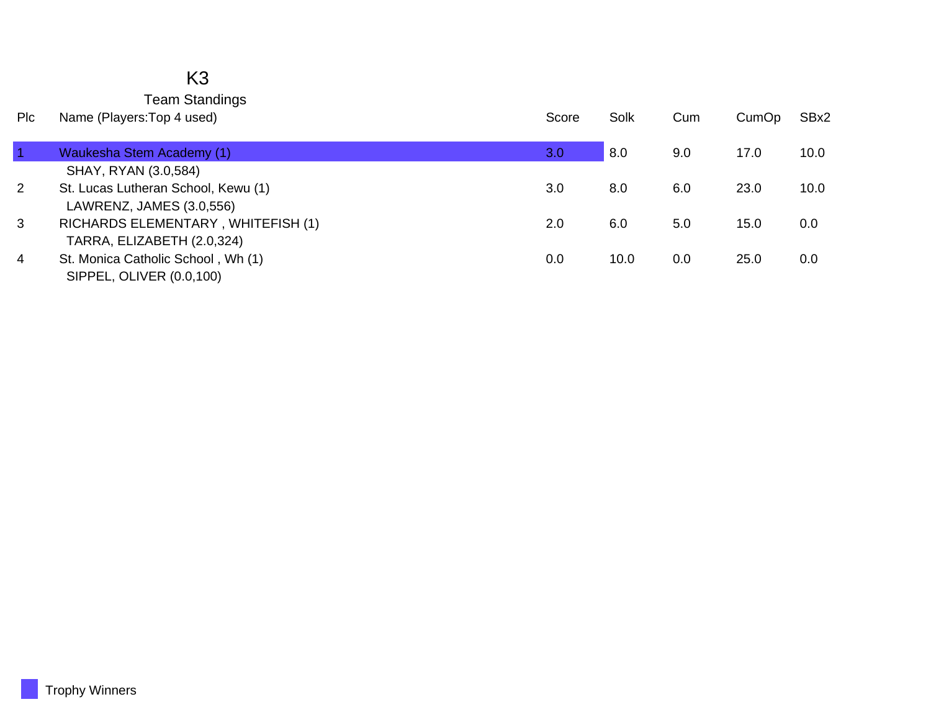## K3 Team Standings

| <b>PIC</b>     | Name (Players: Top 4 used)          | Score | Solk | Cum | CumOp | SBx2 |
|----------------|-------------------------------------|-------|------|-----|-------|------|
|                |                                     |       |      |     |       |      |
|                | Waukesha Stem Academy (1)           | 3.0   | 8.0  | 9.0 | 17.0  | 10.0 |
|                | SHAY, RYAN (3.0,584)                |       |      |     |       |      |
| $\overline{2}$ | St. Lucas Lutheran School, Kewu (1) | 3.0   | 8.0  | 6.0 | 23.0  | 10.0 |
|                | LAWRENZ, JAMES (3.0,556)            |       |      |     |       |      |
| 3              | RICHARDS ELEMENTARY, WHITEFISH (1)  | 2.0   | 6.0  | 5.0 | 15.0  | 0.0  |
|                | TARRA, ELIZABETH (2.0,324)          |       |      |     |       |      |
| 4              | St. Monica Catholic School, Wh (1)  | 0.0   | 10.0 | 0.0 | 25.0  | 0.0  |
|                | SIPPEL, OLIVER (0.0,100)            |       |      |     |       |      |